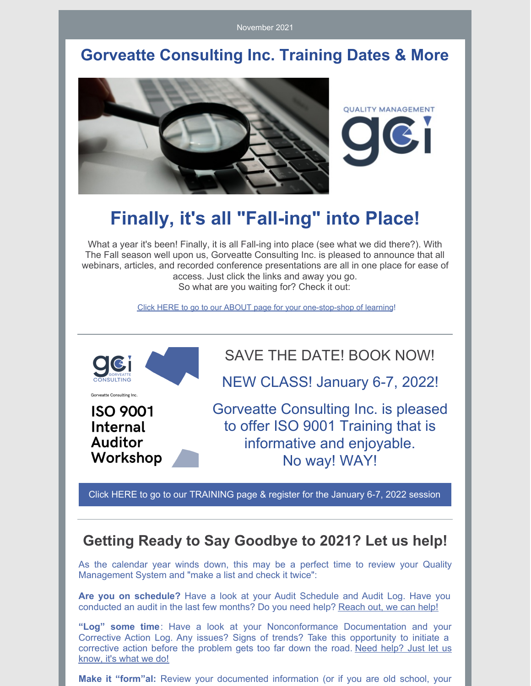November 2021

### **Gorveatte Consulting Inc. Training Dates & More**



# **Finally, it's all "Fall-ing" into Place!**

What a year it's been! Finally, it is all Fall-ing into place (see what we did there?). With The Fall season well upon us, Gorveatte Consulting Inc. is pleased to announce that all webinars, articles, and recorded conference presentations are all in one place for ease of access. Just click the links and away you go. So what are you waiting for? Check it out:

Click HERE to go to our ABOUT page for your one-stop-shop of learning!

SAVE THE DATE! BOOK NOW! NEW CLASS! January 6-7, 2022! Gorveatte Consulting Inc. Gorveatte Consulting Inc. is pleased **ISO 9001** to offer ISO 9001 Training that is Internal **Auditor** informative and enjoyable. Workshop No way! WAY!

Click HERE to go to our TRAINING page & register for the January 6-7, 2022 session

#### **Getting Ready to Say Goodbye to 2021? Let us help!**

As the calendar year winds down, this may be a perfect time to review your Quality Management System and "make a list and check it twice":

**Are you on schedule?** Have a look at your Audit Schedule and Audit Log. Have you conducted an audit in the last few months? Do you need help? Reach out, we can help!

**"Log" some time**: Have a look at your Nonconformance Documentation and your Corrective Action Log. Any issues? Signs of trends? Take this opportunity to initiate a corrective action before the problem gets too far down the road. Need help? Just let us know, it's what we do!

**Make it "form"al:** Review your documented information (or if you are old school, your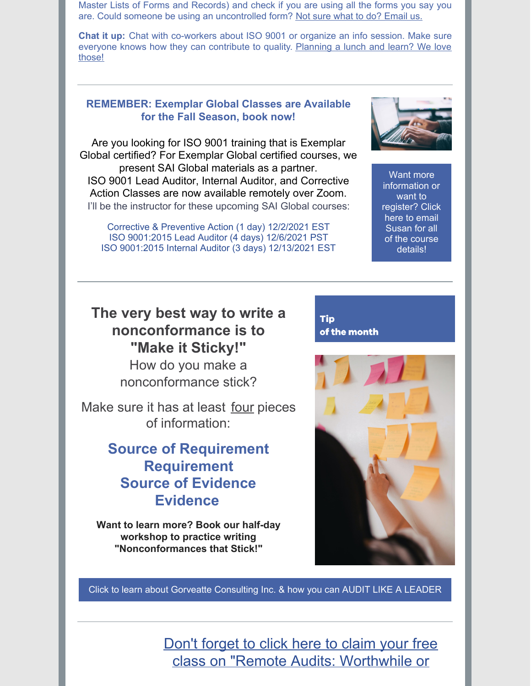Master Lists of Forms and Records) and check if you are using all the forms you say you are. Could someone be using an uncontrolled form? Not sure what to do? Email us.

**Chat it up:** Chat with co-workers about ISO 9001 or organize an info session. Make sure everyone knows how they can contribute to quality. Planning a lunch and learn? We love those!

#### **REMEMBER: Exemplar Global Classes are Available for the Fall Season, book now!**

Are you looking for ISO 9001 training that is Exemplar Global certified? For Exemplar Global certified courses, we present SAI Global materials as a partner. ISO 9001 Lead Auditor, Internal Auditor, and Corrective Action Classes are now available remotely over Zoom. I'll be the instructor for these upcoming SAI Global courses:

Corrective & Preventive Action (1 day) 12/2/2021 EST ISO 9001:2015 Lead Auditor (4 days) 12/6/2021 PST ISO 9001:2015 Internal Auditor (3 days) 12/13/2021 EST



Want more information or want to register? Click here to email Susan for all of the course details!

#### **The very best way to write a nonconformance is to "Make it Sticky!"**

How do you make a nonconformance stick?

Make sure it has at least four pieces of information:

#### **Source of Requirement Requirement Source of Evidence Evidence**

**Want to learn more? Book our half-day workshop to practice writing "Nonconformances that Stick!"**

**Tip** of the month



Click to learn about Gorveatte Consulting Inc. & how you can AUDIT LIKE A LEADER

Don't forget to click here to claim your free class on "Remote Audits: Worthwhile or